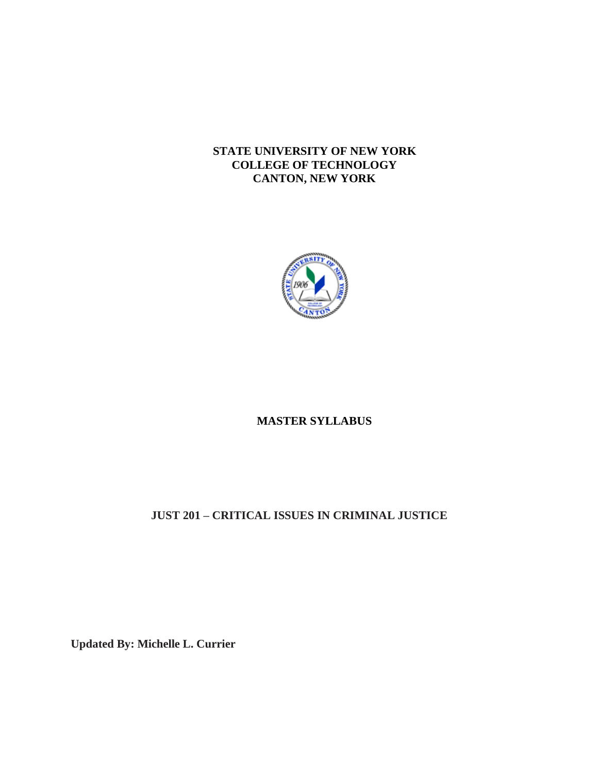#### **STATE UNIVERSITY OF NEW YORK COLLEGE OF TECHNOLOGY CANTON, NEW YORK**



# **MASTER SYLLABUS**

# **JUST 201 – CRITICAL ISSUES IN CRIMINAL JUSTICE**

**Updated By: Michelle L. Currier**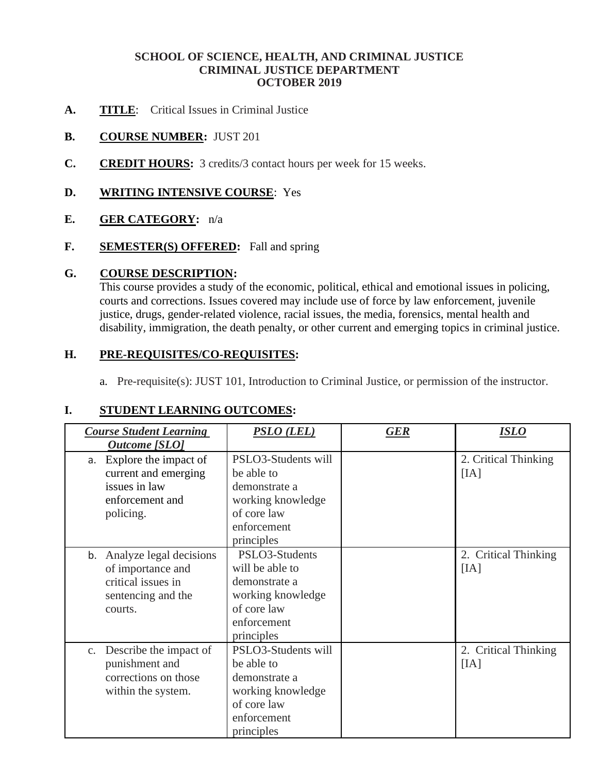#### **SCHOOL OF SCIENCE, HEALTH, AND CRIMINAL JUSTICE CRIMINAL JUSTICE DEPARTMENT OCTOBER 2019**

- A. **TITLE**: Critical Issues in Criminal Justice
- **B. COURSE NUMBER:** JUST 201
- **C. CREDIT HOURS:** 3 credits/3 contact hours per week for 15 weeks.

#### **D. WRITING INTENSIVE COURSE**: Yes

#### **E. GER CATEGORY:** n/a

**F. SEMESTER(S) OFFERED:** Fall and spring

#### **G. COURSE DESCRIPTION:**

This course provides a study of the economic, political, ethical and emotional issues in policing, courts and corrections. Issues covered may include use of force by law enforcement, juvenile justice, drugs, gender-related violence, racial issues, the media, forensics, mental health and disability, immigration, the death penalty, or other current and emerging topics in criminal justice.

#### **H. PRE-REQUISITES/CO-REQUISITES:**

a. Pre-requisite(s): JUST 101, Introduction to Criminal Justice, or permission of the instructor.

#### **I. STUDENT LEARNING OUTCOMES:**

| <b>Course Student Learning</b><br><b>Outcome</b> [SLO]                                                  | PSLO (LEL)                                                                                                          | <b>GER</b> | <b>ISLO</b>                  |
|---------------------------------------------------------------------------------------------------------|---------------------------------------------------------------------------------------------------------------------|------------|------------------------------|
| Explore the impact of<br>a.<br>current and emerging<br>issues in law<br>enforcement and<br>policing.    | PSLO3-Students will<br>be able to<br>demonstrate a<br>working knowledge<br>of core law<br>enforcement<br>principles |            | 2. Critical Thinking<br>[IA] |
| b. Analyze legal decisions<br>of importance and<br>critical issues in<br>sentencing and the<br>courts.  | PSLO3-Students<br>will be able to<br>demonstrate a<br>working knowledge<br>of core law<br>enforcement<br>principles |            | 2. Critical Thinking<br>[IA] |
| Describe the impact of<br>$C_{\bullet}$<br>punishment and<br>corrections on those<br>within the system. | PSLO3-Students will<br>be able to<br>demonstrate a<br>working knowledge<br>of core law<br>enforcement<br>principles |            | 2. Critical Thinking<br>[IA] |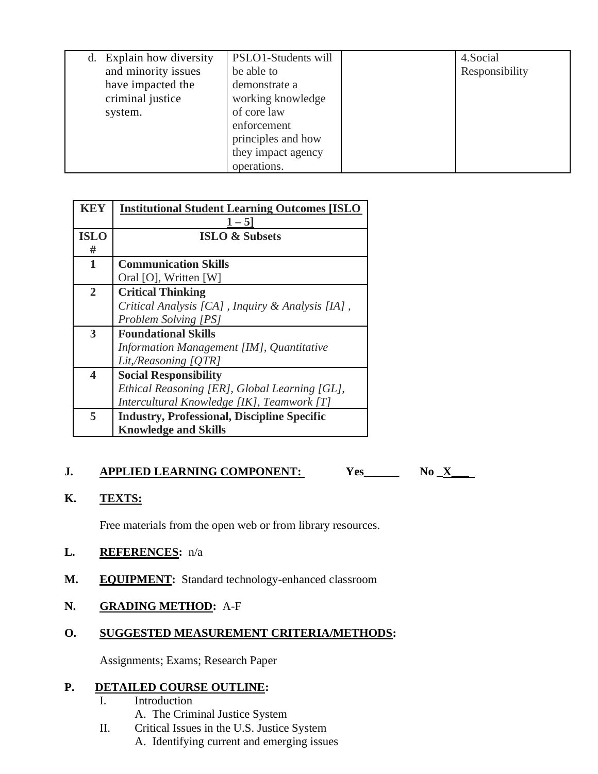| d. Explain how diversity<br>and minority issues<br>have impacted the<br>criminal justice<br>system. | PSLO1-Students will<br>be able to<br>demonstrate a<br>working knowledge<br>of core law<br>enforcement<br>principles and how<br>they impact agency<br>operations. |  | 4. Social<br>Responsibility |
|-----------------------------------------------------------------------------------------------------|------------------------------------------------------------------------------------------------------------------------------------------------------------------|--|-----------------------------|
|-----------------------------------------------------------------------------------------------------|------------------------------------------------------------------------------------------------------------------------------------------------------------------|--|-----------------------------|

| <b>Institutional Student Learning Outcomes [ISLO</b> |  |
|------------------------------------------------------|--|
| $1 - 5$                                              |  |
| <b>ISLO &amp; Subsets</b>                            |  |
|                                                      |  |
| <b>Communication Skills</b>                          |  |
| Oral [O], Written [W]                                |  |
| <b>Critical Thinking</b>                             |  |
| Critical Analysis [CA], Inquiry & Analysis [IA],     |  |
| <b>Problem Solving [PS]</b>                          |  |
| <b>Foundational Skills</b>                           |  |
| Information Management [IM], Quantitative            |  |
| Lit,/Reasoning [QTR]                                 |  |
| <b>Social Responsibility</b>                         |  |
| Ethical Reasoning [ER], Global Learning [GL],        |  |
| Intercultural Knowledge [IK], Teamwork [T]           |  |
| <b>Industry, Professional, Discipline Specific</b>   |  |
| <b>Knowledge and Skills</b>                          |  |
|                                                      |  |

# $\overline{N_0} \underline{X}$ **J.** <u>APPLIED LEARNING COMPONENT:</u> Yes\_\_\_\_\_\_<br>K. <u>TEXTS:</u>

Free materials from the open web or from library resources.

### **L. REFERENCES:** n/a

**M. EQUIPMENT:** Standard technology-enhanced classroom

#### **N. GRADING METHOD:** A-F

## **O. SUGGESTED MEASUREMENT CRITERIA/METHODS:**

Assignments; Exams; Research Paper

#### **P. DETAILED COURSE OUTLINE:**

- I. Introduction
	- A. The Criminal Justice System
- II. Critical Issues in the U.S. Justice System
	- A. Identifying current and emerging issues